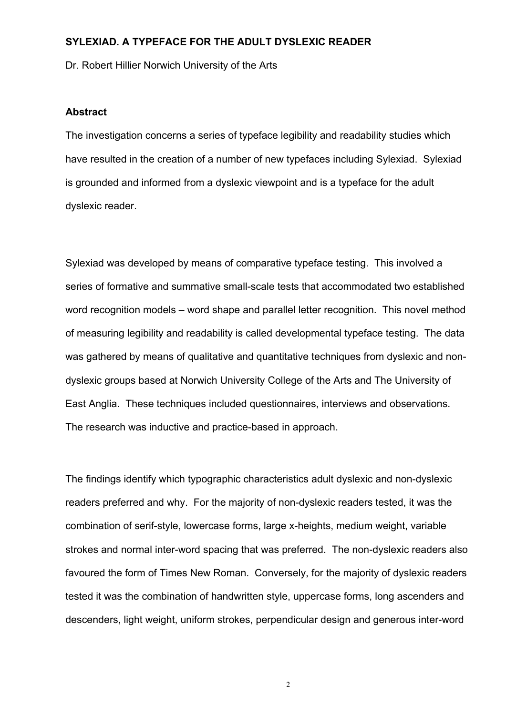## **SYLEXIAD. A TYPEFACE FOR THE ADULT DYSLEXIC READER**

Dr. Robert Hillier Norwich University of the Arts

### **Abstract**

The investigation concerns a series of typeface legibility and readability studies which have resulted in the creation of a number of new typefaces including Sylexiad. Sylexiad is grounded and informed from a dyslexic viewpoint and is a typeface for the adult dyslexic reader.

Sylexiad was developed by means of comparative typeface testing. This involved a series of formative and summative small-scale tests that accommodated two established word recognition models – word shape and parallel letter recognition. This novel method of measuring legibility and readability is called developmental typeface testing. The data was gathered by means of qualitative and quantitative techniques from dyslexic and nondyslexic groups based at Norwich University College of the Arts and The University of East Anglia. These techniques included questionnaires, interviews and observations. The research was inductive and practice-based in approach.

The findings identify which typographic characteristics adult dyslexic and non-dyslexic readers preferred and why. For the majority of non-dyslexic readers tested, it was the combination of serif-style, lowercase forms, large x-heights, medium weight, variable strokes and normal inter-word spacing that was preferred. The non-dyslexic readers also favoured the form of Times New Roman. Conversely, for the majority of dyslexic readers tested it was the combination of handwritten style, uppercase forms, long ascenders and descenders, light weight, uniform strokes, perpendicular design and generous inter-word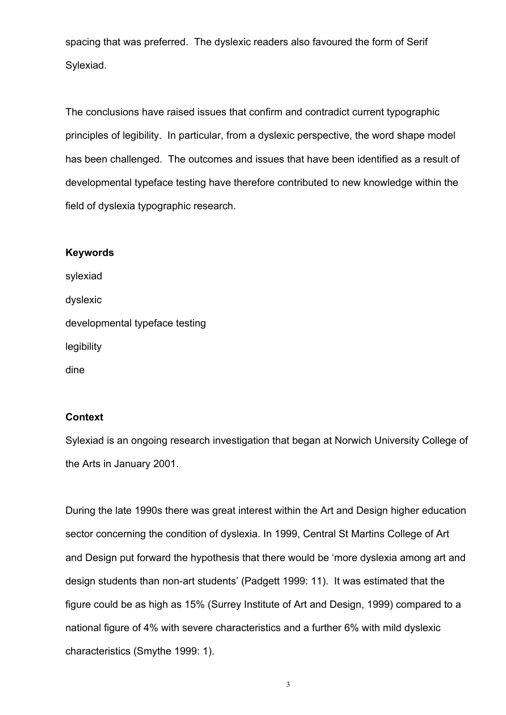spacing that was preferred. The dyslexic readers also favoured the form of Serif Sylexiad.

The conclusions have raised issues that confirm and contradict current typographic principles of legibility. In particular, from a dyslexic perspective, the word shape model has been challenged. The outcomes and issues that have been identified as a result of developmental typeface testing have therefore contributed to new knowledge within the field of dyslexia typographic research.

#### **Keywords**

sylexiad dyslexic developmental typeface testing **legibility** dine

#### **Context**

Sylexiad is an ongoing research investigation that began at Norwich University College of the Arts in January 2001.

During the late 1990s there was great interest within the Art and Design higher education sector concerning the condition of dyslexia. In 1999, Central St Martins College of Art and Design put forward the hypothesis that there would be 'more dyslexia among art and design students than non-art students' (Padgett 1999: 11). It was estimated that the figure could be as high as 15% (Surrey Institute of Art and Design, 1999) compared to a national figure of 4% with severe characteristics and a further 6% with mild dyslexic characteristics (Smythe 1999: 1).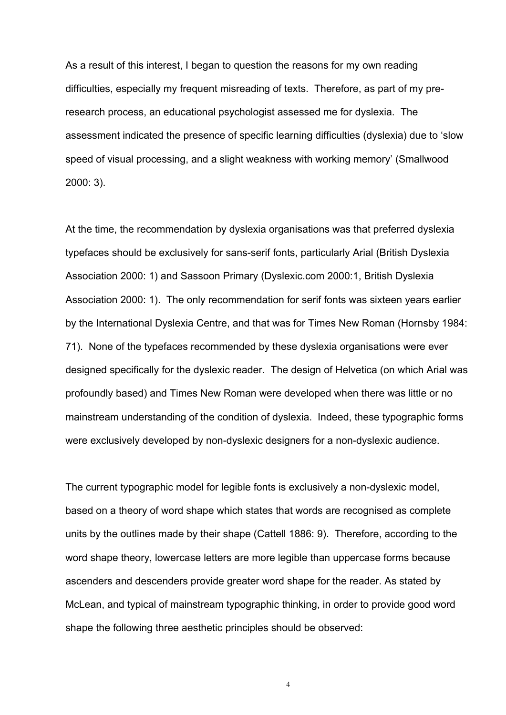As a result of this interest, I began to question the reasons for my own reading difficulties, especially my frequent misreading of texts. Therefore, as part of my preresearch process, an educational psychologist assessed me for dyslexia. The assessment indicated the presence of specific learning difficulties (dyslexia) due to 'slow speed of visual processing, and a slight weakness with working memory' (Smallwood 2000: 3).

At the time, the recommendation by dyslexia organisations was that preferred dyslexia typefaces should be exclusively for sans-serif fonts, particularly Arial (British Dyslexia Association 2000: 1) and Sassoon Primary (Dyslexic.com 2000:1, British Dyslexia Association 2000: 1). The only recommendation for serif fonts was sixteen years earlier by the International Dyslexia Centre, and that was for Times New Roman (Hornsby 1984: 71). None of the typefaces recommended by these dyslexia organisations were ever designed specifically for the dyslexic reader. The design of Helvetica (on which Arial was profoundly based) and Times New Roman were developed when there was little or no mainstream understanding of the condition of dyslexia. Indeed, these typographic forms were exclusively developed by non-dyslexic designers for a non-dyslexic audience.

The current typographic model for legible fonts is exclusively a non-dyslexic model, based on a theory of word shape which states that words are recognised as complete units by the outlines made by their shape (Cattell 1886: 9). Therefore, according to the word shape theory, lowercase letters are more legible than uppercase forms because ascenders and descenders provide greater word shape for the reader. As stated by McLean, and typical of mainstream typographic thinking, in order to provide good word shape the following three aesthetic principles should be observed: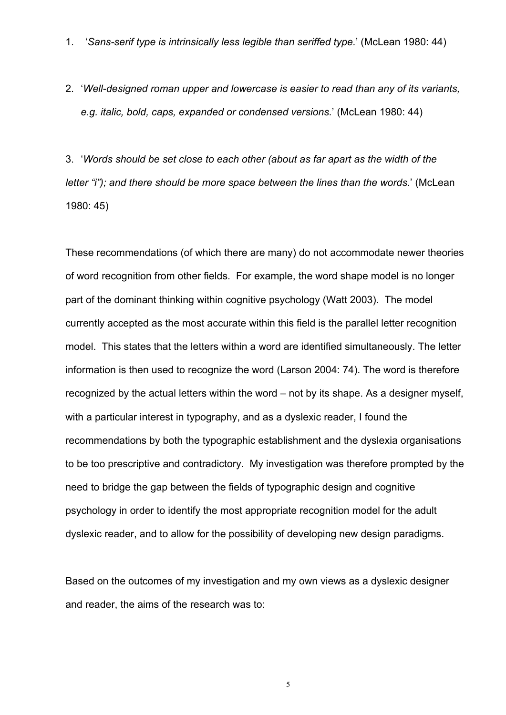- 1. '*Sans-serif type is intrinsically less legible than seriffed type.*' (McLean 1980: 44)
- 2. '*Well-designed roman upper and lowercase is easier to read than any of its variants, e.g. italic, bold, caps, expanded or condensed versions.*' (McLean 1980: 44)

3. '*Words should be set close to each other (about as far apart as the width of the letter "i"); and there should be more space between the lines than the words.*' (McLean 1980: 45)

These recommendations (of which there are many) do not accommodate newer theories of word recognition from other fields. For example, the word shape model is no longer part of the dominant thinking within cognitive psychology (Watt 2003). The model currently accepted as the most accurate within this field is the parallel letter recognition model. This states that the letters within a word are identified simultaneously. The letter information is then used to recognize the word (Larson 2004: 74). The word is therefore recognized by the actual letters within the word – not by its shape. As a designer myself, with a particular interest in typography, and as a dyslexic reader, I found the recommendations by both the typographic establishment and the dyslexia organisations to be too prescriptive and contradictory. My investigation was therefore prompted by the need to bridge the gap between the fields of typographic design and cognitive psychology in order to identify the most appropriate recognition model for the adult dyslexic reader, and to allow for the possibility of developing new design paradigms.

Based on the outcomes of my investigation and my own views as a dyslexic designer and reader, the aims of the research was to: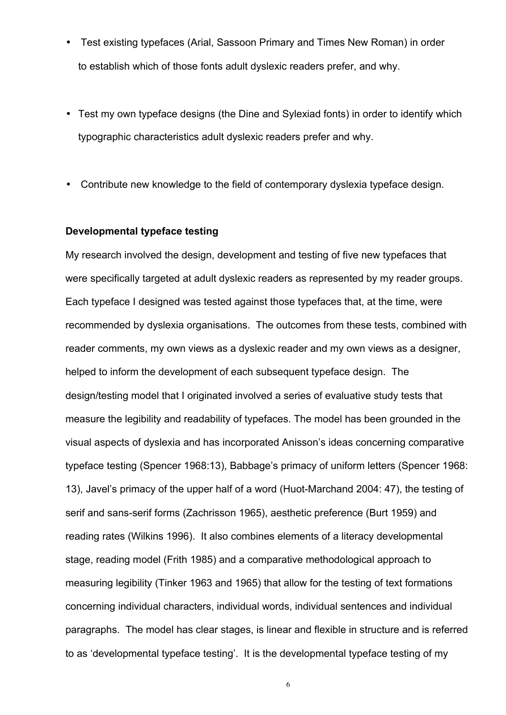- Test existing typefaces (Arial, Sassoon Primary and Times New Roman) in order to establish which of those fonts adult dyslexic readers prefer, and why.
- Test my own typeface designs (the Dine and Sylexiad fonts) in order to identify which typographic characteristics adult dyslexic readers prefer and why.
- Contribute new knowledge to the field of contemporary dyslexia typeface design.

#### **Developmental typeface testing**

My research involved the design, development and testing of five new typefaces that were specifically targeted at adult dyslexic readers as represented by my reader groups. Each typeface I designed was tested against those typefaces that, at the time, were recommended by dyslexia organisations. The outcomes from these tests, combined with reader comments, my own views as a dyslexic reader and my own views as a designer, helped to inform the development of each subsequent typeface design. The design/testing model that I originated involved a series of evaluative study tests that measure the legibility and readability of typefaces. The model has been grounded in the visual aspects of dyslexia and has incorporated Anisson's ideas concerning comparative typeface testing (Spencer 1968:13), Babbage's primacy of uniform letters (Spencer 1968: 13), Javel's primacy of the upper half of a word (Huot-Marchand 2004: 47), the testing of serif and sans-serif forms (Zachrisson 1965), aesthetic preference (Burt 1959) and reading rates (Wilkins 1996). It also combines elements of a literacy developmental stage, reading model (Frith 1985) and a comparative methodological approach to measuring legibility (Tinker 1963 and 1965) that allow for the testing of text formations concerning individual characters, individual words, individual sentences and individual paragraphs. The model has clear stages, is linear and flexible in structure and is referred to as 'developmental typeface testing'. It is the developmental typeface testing of my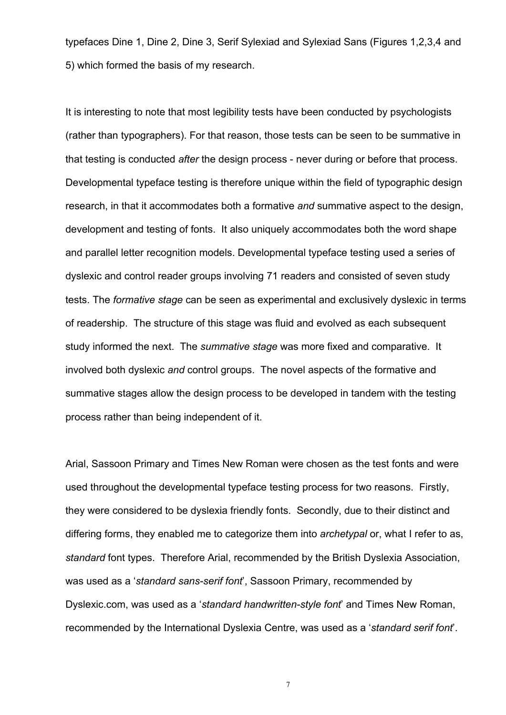typefaces Dine 1, Dine 2, Dine 3, Serif Sylexiad and Sylexiad Sans (Figures 1,2,3,4 and 5) which formed the basis of my research.

It is interesting to note that most legibility tests have been conducted by psychologists (rather than typographers). For that reason, those tests can be seen to be summative in that testing is conducted *after* the design process - never during or before that process. Developmental typeface testing is therefore unique within the field of typographic design research, in that it accommodates both a formative *and* summative aspect to the design, development and testing of fonts. It also uniquely accommodates both the word shape and parallel letter recognition models. Developmental typeface testing used a series of dyslexic and control reader groups involving 71 readers and consisted of seven study tests. The *formative stage* can be seen as experimental and exclusively dyslexic in terms of readership. The structure of this stage was fluid and evolved as each subsequent study informed the next. The *summative stage* was more fixed and comparative. It involved both dyslexic *and* control groups. The novel aspects of the formative and summative stages allow the design process to be developed in tandem with the testing process rather than being independent of it.

Arial, Sassoon Primary and Times New Roman were chosen as the test fonts and were used throughout the developmental typeface testing process for two reasons. Firstly, they were considered to be dyslexia friendly fonts. Secondly, due to their distinct and differing forms, they enabled me to categorize them into *archetypal* or, what I refer to as, *standard* font types. Therefore Arial, recommended by the British Dyslexia Association, was used as a '*standard sans-serif font*', Sassoon Primary, recommended by Dyslexic.com, was used as a '*standard handwritten-style font*' and Times New Roman, recommended by the International Dyslexia Centre, was used as a '*standard serif font*'.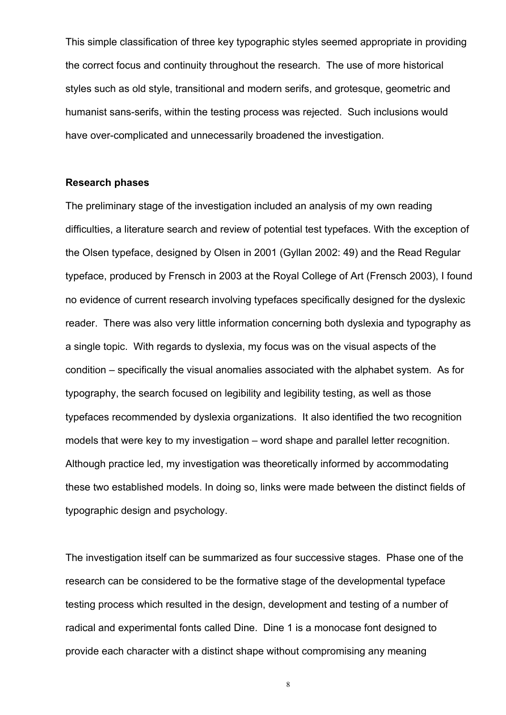This simple classification of three key typographic styles seemed appropriate in providing the correct focus and continuity throughout the research. The use of more historical styles such as old style, transitional and modern serifs, and grotesque, geometric and humanist sans-serifs, within the testing process was rejected. Such inclusions would have over-complicated and unnecessarily broadened the investigation.

#### **Research phases**

The preliminary stage of the investigation included an analysis of my own reading difficulties, a literature search and review of potential test typefaces. With the exception of the Olsen typeface, designed by Olsen in 2001 (Gyllan 2002: 49) and the Read Regular typeface, produced by Frensch in 2003 at the Royal College of Art (Frensch 2003), I found no evidence of current research involving typefaces specifically designed for the dyslexic reader. There was also very little information concerning both dyslexia and typography as a single topic. With regards to dyslexia, my focus was on the visual aspects of the condition – specifically the visual anomalies associated with the alphabet system. As for typography, the search focused on legibility and legibility testing, as well as those typefaces recommended by dyslexia organizations. It also identified the two recognition models that were key to my investigation – word shape and parallel letter recognition. Although practice led, my investigation was theoretically informed by accommodating these two established models. In doing so, links were made between the distinct fields of typographic design and psychology.

The investigation itself can be summarized as four successive stages. Phase one of the research can be considered to be the formative stage of the developmental typeface testing process which resulted in the design, development and testing of a number of radical and experimental fonts called Dine. Dine 1 is a monocase font designed to provide each character with a distinct shape without compromising any meaning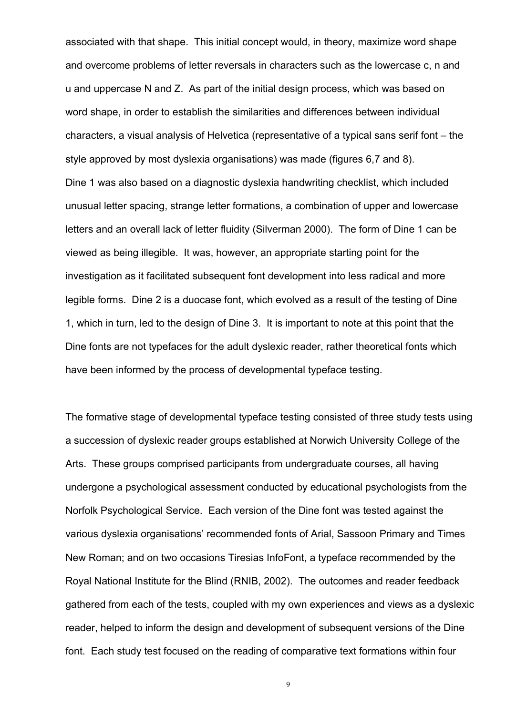associated with that shape. This initial concept would, in theory, maximize word shape and overcome problems of letter reversals in characters such as the lowercase c, n and u and uppercase N and Z. As part of the initial design process, which was based on word shape, in order to establish the similarities and differences between individual characters, a visual analysis of Helvetica (representative of a typical sans serif font – the style approved by most dyslexia organisations) was made (figures 6,7 and 8). Dine 1 was also based on a diagnostic dyslexia handwriting checklist, which included unusual letter spacing, strange letter formations, a combination of upper and lowercase letters and an overall lack of letter fluidity (Silverman 2000). The form of Dine 1 can be viewed as being illegible. It was, however, an appropriate starting point for the investigation as it facilitated subsequent font development into less radical and more legible forms. Dine 2 is a duocase font, which evolved as a result of the testing of Dine 1, which in turn, led to the design of Dine 3. It is important to note at this point that the Dine fonts are not typefaces for the adult dyslexic reader, rather theoretical fonts which have been informed by the process of developmental typeface testing.

The formative stage of developmental typeface testing consisted of three study tests using a succession of dyslexic reader groups established at Norwich University College of the Arts. These groups comprised participants from undergraduate courses, all having undergone a psychological assessment conducted by educational psychologists from the Norfolk Psychological Service. Each version of the Dine font was tested against the various dyslexia organisations' recommended fonts of Arial, Sassoon Primary and Times New Roman; and on two occasions Tiresias InfoFont, a typeface recommended by the Royal National Institute for the Blind (RNIB, 2002). The outcomes and reader feedback gathered from each of the tests, coupled with my own experiences and views as a dyslexic reader, helped to inform the design and development of subsequent versions of the Dine font. Each study test focused on the reading of comparative text formations within four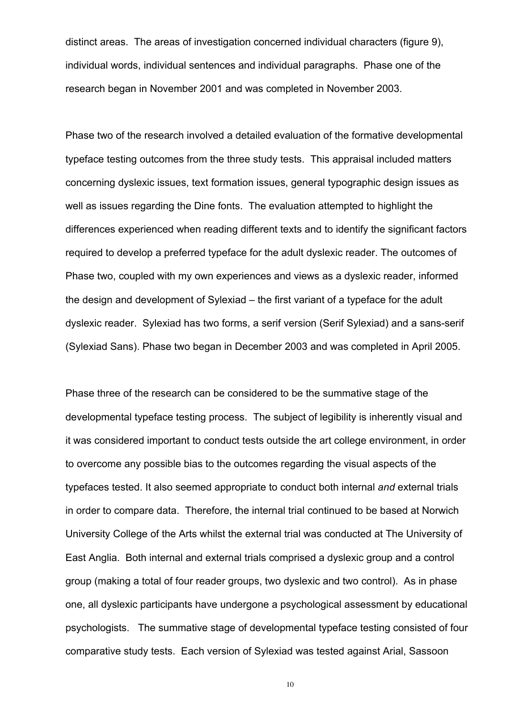distinct areas. The areas of investigation concerned individual characters (figure 9), individual words, individual sentences and individual paragraphs. Phase one of the research began in November 2001 and was completed in November 2003.

Phase two of the research involved a detailed evaluation of the formative developmental typeface testing outcomes from the three study tests. This appraisal included matters concerning dyslexic issues, text formation issues, general typographic design issues as well as issues regarding the Dine fonts. The evaluation attempted to highlight the differences experienced when reading different texts and to identify the significant factors required to develop a preferred typeface for the adult dyslexic reader. The outcomes of Phase two, coupled with my own experiences and views as a dyslexic reader, informed the design and development of Sylexiad – the first variant of a typeface for the adult dyslexic reader. Sylexiad has two forms, a serif version (Serif Sylexiad) and a sans-serif (Sylexiad Sans). Phase two began in December 2003 and was completed in April 2005.

Phase three of the research can be considered to be the summative stage of the developmental typeface testing process. The subject of legibility is inherently visual and it was considered important to conduct tests outside the art college environment, in order to overcome any possible bias to the outcomes regarding the visual aspects of the typefaces tested. It also seemed appropriate to conduct both internal *and* external trials in order to compare data. Therefore, the internal trial continued to be based at Norwich University College of the Arts whilst the external trial was conducted at The University of East Anglia. Both internal and external trials comprised a dyslexic group and a control group (making a total of four reader groups, two dyslexic and two control). As in phase one, all dyslexic participants have undergone a psychological assessment by educational psychologists. The summative stage of developmental typeface testing consisted of four comparative study tests. Each version of Sylexiad was tested against Arial, Sassoon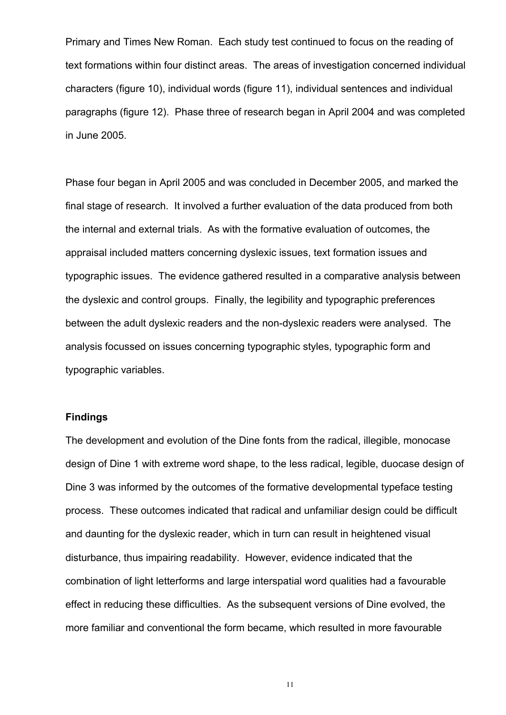Primary and Times New Roman. Each study test continued to focus on the reading of text formations within four distinct areas. The areas of investigation concerned individual characters (figure 10), individual words (figure 11), individual sentences and individual paragraphs (figure 12). Phase three of research began in April 2004 and was completed in June 2005.

Phase four began in April 2005 and was concluded in December 2005, and marked the final stage of research. It involved a further evaluation of the data produced from both the internal and external trials. As with the formative evaluation of outcomes, the appraisal included matters concerning dyslexic issues, text formation issues and typographic issues. The evidence gathered resulted in a comparative analysis between the dyslexic and control groups. Finally, the legibility and typographic preferences between the adult dyslexic readers and the non-dyslexic readers were analysed. The analysis focussed on issues concerning typographic styles, typographic form and typographic variables.

## **Findings**

The development and evolution of the Dine fonts from the radical, illegible, monocase design of Dine 1 with extreme word shape, to the less radical, legible, duocase design of Dine 3 was informed by the outcomes of the formative developmental typeface testing process. These outcomes indicated that radical and unfamiliar design could be difficult and daunting for the dyslexic reader, which in turn can result in heightened visual disturbance, thus impairing readability. However, evidence indicated that the combination of light letterforms and large interspatial word qualities had a favourable effect in reducing these difficulties. As the subsequent versions of Dine evolved, the more familiar and conventional the form became, which resulted in more favourable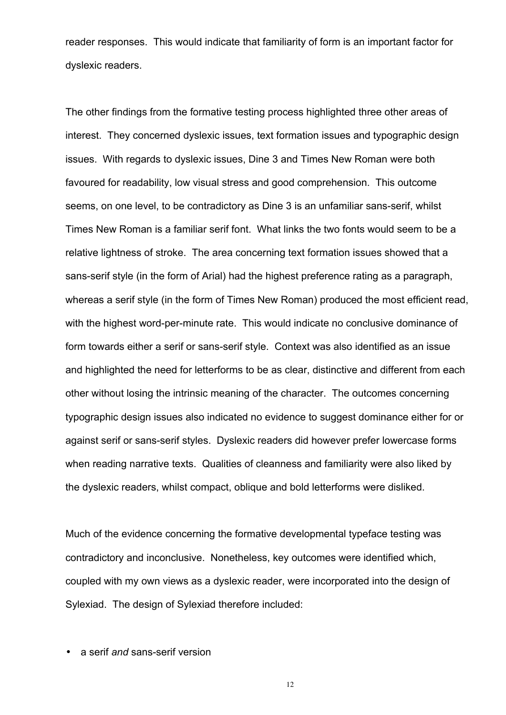reader responses. This would indicate that familiarity of form is an important factor for dyslexic readers.

The other findings from the formative testing process highlighted three other areas of interest. They concerned dyslexic issues, text formation issues and typographic design issues. With regards to dyslexic issues, Dine 3 and Times New Roman were both favoured for readability, low visual stress and good comprehension. This outcome seems, on one level, to be contradictory as Dine 3 is an unfamiliar sans-serif, whilst Times New Roman is a familiar serif font. What links the two fonts would seem to be a relative lightness of stroke. The area concerning text formation issues showed that a sans-serif style (in the form of Arial) had the highest preference rating as a paragraph, whereas a serif style (in the form of Times New Roman) produced the most efficient read, with the highest word-per-minute rate. This would indicate no conclusive dominance of form towards either a serif or sans-serif style. Context was also identified as an issue and highlighted the need for letterforms to be as clear, distinctive and different from each other without losing the intrinsic meaning of the character. The outcomes concerning typographic design issues also indicated no evidence to suggest dominance either for or against serif or sans-serif styles. Dyslexic readers did however prefer lowercase forms when reading narrative texts. Qualities of cleanness and familiarity were also liked by the dyslexic readers, whilst compact, oblique and bold letterforms were disliked.

Much of the evidence concerning the formative developmental typeface testing was contradictory and inconclusive. Nonetheless, key outcomes were identified which, coupled with my own views as a dyslexic reader, were incorporated into the design of Sylexiad. The design of Sylexiad therefore included:

• a serif *and* sans-serif version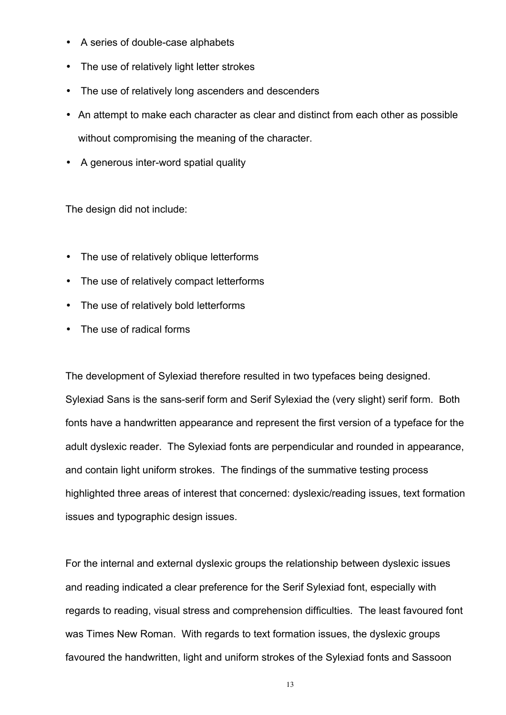- A series of double-case alphabets
- The use of relatively light letter strokes
- The use of relatively long ascenders and descenders
- An attempt to make each character as clear and distinct from each other as possible without compromising the meaning of the character.
- A generous inter-word spatial quality

The design did not include:

- The use of relatively oblique letterforms
- The use of relatively compact letterforms
- The use of relatively bold letterforms
- The use of radical forms

The development of Sylexiad therefore resulted in two typefaces being designed. Sylexiad Sans is the sans-serif form and Serif Sylexiad the (very slight) serif form. Both fonts have a handwritten appearance and represent the first version of a typeface for the adult dyslexic reader. The Sylexiad fonts are perpendicular and rounded in appearance, and contain light uniform strokes. The findings of the summative testing process highlighted three areas of interest that concerned: dyslexic/reading issues, text formation issues and typographic design issues.

For the internal and external dyslexic groups the relationship between dyslexic issues and reading indicated a clear preference for the Serif Sylexiad font, especially with regards to reading, visual stress and comprehension difficulties. The least favoured font was Times New Roman. With regards to text formation issues, the dyslexic groups favoured the handwritten, light and uniform strokes of the Sylexiad fonts and Sassoon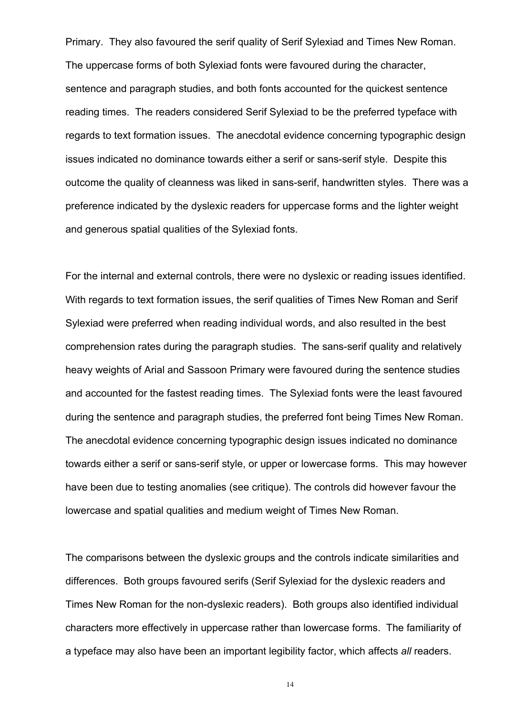Primary. They also favoured the serif quality of Serif Sylexiad and Times New Roman. The uppercase forms of both Sylexiad fonts were favoured during the character, sentence and paragraph studies, and both fonts accounted for the quickest sentence reading times. The readers considered Serif Sylexiad to be the preferred typeface with regards to text formation issues. The anecdotal evidence concerning typographic design issues indicated no dominance towards either a serif or sans-serif style. Despite this outcome the quality of cleanness was liked in sans-serif, handwritten styles. There was a preference indicated by the dyslexic readers for uppercase forms and the lighter weight and generous spatial qualities of the Sylexiad fonts.

For the internal and external controls, there were no dyslexic or reading issues identified. With regards to text formation issues, the serif qualities of Times New Roman and Serif Sylexiad were preferred when reading individual words, and also resulted in the best comprehension rates during the paragraph studies. The sans-serif quality and relatively heavy weights of Arial and Sassoon Primary were favoured during the sentence studies and accounted for the fastest reading times. The Sylexiad fonts were the least favoured during the sentence and paragraph studies, the preferred font being Times New Roman. The anecdotal evidence concerning typographic design issues indicated no dominance towards either a serif or sans-serif style, or upper or lowercase forms. This may however have been due to testing anomalies (see critique). The controls did however favour the lowercase and spatial qualities and medium weight of Times New Roman.

The comparisons between the dyslexic groups and the controls indicate similarities and differences. Both groups favoured serifs (Serif Sylexiad for the dyslexic readers and Times New Roman for the non-dyslexic readers). Both groups also identified individual characters more effectively in uppercase rather than lowercase forms. The familiarity of a typeface may also have been an important legibility factor, which affects *all* readers.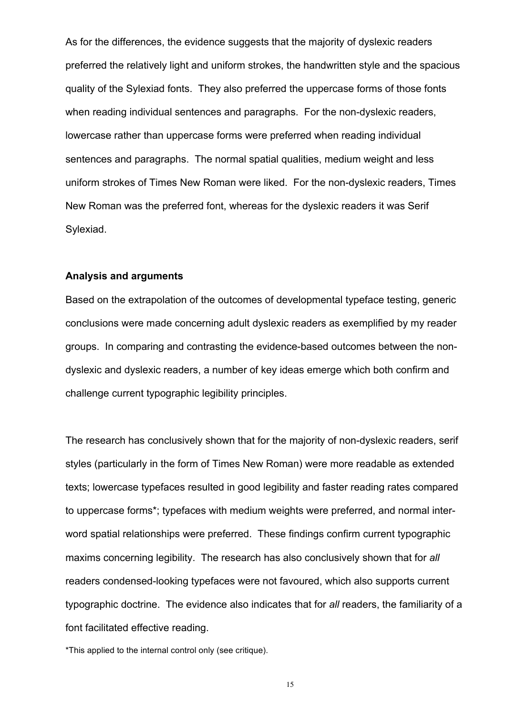As for the differences, the evidence suggests that the majority of dyslexic readers preferred the relatively light and uniform strokes, the handwritten style and the spacious quality of the Sylexiad fonts. They also preferred the uppercase forms of those fonts when reading individual sentences and paragraphs. For the non-dyslexic readers, lowercase rather than uppercase forms were preferred when reading individual sentences and paragraphs. The normal spatial qualities, medium weight and less uniform strokes of Times New Roman were liked. For the non-dyslexic readers, Times New Roman was the preferred font, whereas for the dyslexic readers it was Serif Sylexiad.

### **Analysis and arguments**

Based on the extrapolation of the outcomes of developmental typeface testing, generic conclusions were made concerning adult dyslexic readers as exemplified by my reader groups.In comparing and contrasting the evidence-based outcomes between the nondyslexic and dyslexic readers, a number of key ideas emerge which both confirm and challenge current typographic legibility principles.

The research has conclusively shown that for the majority of non-dyslexic readers, serif styles (particularly in the form of Times New Roman) were more readable as extended texts; lowercase typefaces resulted in good legibility and faster reading rates compared to uppercase forms\*; typefaces with medium weights were preferred, and normal interword spatial relationships were preferred. These findings confirm current typographic maxims concerning legibility. The research has also conclusively shown that for *all*  readers condensed-looking typefaces were not favoured, which also supports current typographic doctrine. The evidence also indicates that for *all* readers, the familiarity of a font facilitated effective reading.

\*This applied to the internal control only (see critique).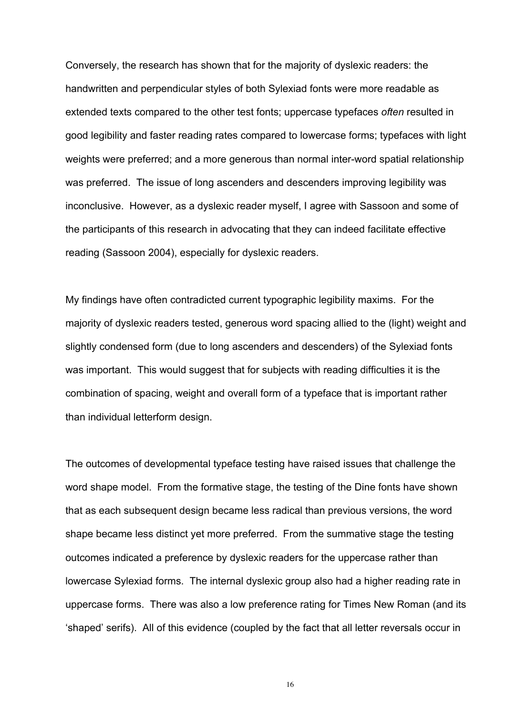Conversely, the research has shown that for the majority of dyslexic readers: the handwritten and perpendicular styles of both Sylexiad fonts were more readable as extended texts compared to the other test fonts; uppercase typefaces *often* resulted in good legibility and faster reading rates compared to lowercase forms; typefaces with light weights were preferred; and a more generous than normal inter-word spatial relationship was preferred. The issue of long ascenders and descenders improving legibility was inconclusive. However, as a dyslexic reader myself, I agree with Sassoon and some of the participants of this research in advocating that they can indeed facilitate effective reading (Sassoon 2004), especially for dyslexic readers.

My findings have often contradicted current typographic legibility maxims. For the majority of dyslexic readers tested, generous word spacing allied to the (light) weight and slightly condensed form (due to long ascenders and descenders) of the Sylexiad fonts was important. This would suggest that for subjects with reading difficulties it is the combination of spacing, weight and overall form of a typeface that is important rather than individual letterform design.

The outcomes of developmental typeface testing have raised issues that challenge the word shape model. From the formative stage, the testing of the Dine fonts have shown that as each subsequent design became less radical than previous versions, the word shape became less distinct yet more preferred. From the summative stage the testing outcomes indicated a preference by dyslexic readers for the uppercase rather than lowercase Sylexiad forms. The internal dyslexic group also had a higher reading rate in uppercase forms. There was also a low preference rating for Times New Roman (and its 'shaped' serifs). All of this evidence (coupled by the fact that all letter reversals occur in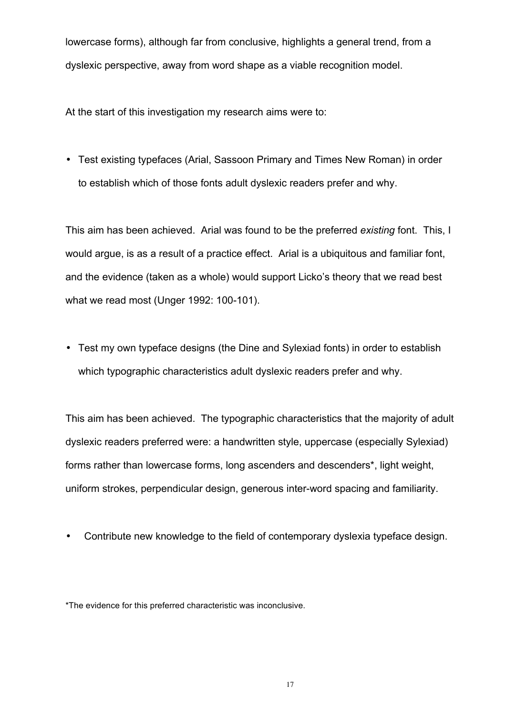lowercase forms), although far from conclusive, highlights a general trend, from a dyslexic perspective, away from word shape as a viable recognition model.

At the start of this investigation my research aims were to:

• Test existing typefaces (Arial, Sassoon Primary and Times New Roman) in order to establish which of those fonts adult dyslexic readers prefer and why.

This aim has been achieved. Arial was found to be the preferred *existing* font. This, I would argue, is as a result of a practice effect. Arial is a ubiquitous and familiar font, and the evidence (taken as a whole) would support Licko's theory that we read best what we read most (Unger 1992: 100-101).

• Test my own typeface designs (the Dine and Sylexiad fonts) in order to establish which typographic characteristics adult dyslexic readers prefer and why.

This aim has been achieved. The typographic characteristics that the majority of adult dyslexic readers preferred were: a handwritten style, uppercase (especially Sylexiad) forms rather than lowercase forms, long ascenders and descenders\*, light weight, uniform strokes, perpendicular design, generous inter-word spacing and familiarity.

• Contribute new knowledge to the field of contemporary dyslexia typeface design.

\*The evidence for this preferred characteristic was inconclusive.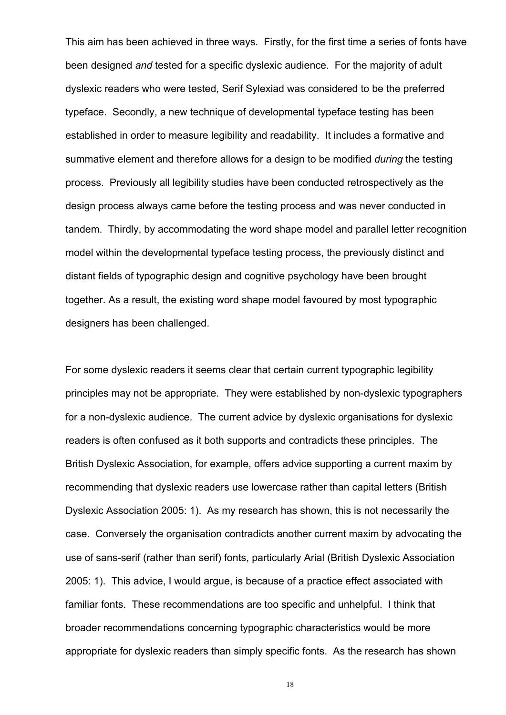This aim has been achieved in three ways. Firstly, for the first time a series of fonts have been designed *and* tested for a specific dyslexic audience. For the majority of adult dyslexic readers who were tested, Serif Sylexiad was considered to be the preferred typeface. Secondly, a new technique of developmental typeface testing has been established in order to measure legibility and readability. It includes a formative and summative element and therefore allows for a design to be modified *during* the testing process. Previously all legibility studies have been conducted retrospectively as the design process always came before the testing process and was never conducted in tandem. Thirdly, by accommodating the word shape model and parallel letter recognition model within the developmental typeface testing process, the previously distinct and distant fields of typographic design and cognitive psychology have been brought together. As a result, the existing word shape model favoured by most typographic designers has been challenged.

For some dyslexic readers it seems clear that certain current typographic legibility principles may not be appropriate. They were established by non-dyslexic typographers for a non-dyslexic audience. The current advice by dyslexic organisations for dyslexic readers is often confused as it both supports and contradicts these principles. The British Dyslexic Association, for example, offers advice supporting a current maxim by recommending that dyslexic readers use lowercase rather than capital letters (British Dyslexic Association 2005: 1). As my research has shown, this is not necessarily the case. Conversely the organisation contradicts another current maxim by advocating the use of sans-serif (rather than serif) fonts, particularly Arial (British Dyslexic Association 2005: 1). This advice, I would argue, is because of a practice effect associated with familiar fonts. These recommendations are too specific and unhelpful. I think that broader recommendations concerning typographic characteristics would be more appropriate for dyslexic readers than simply specific fonts. As the research has shown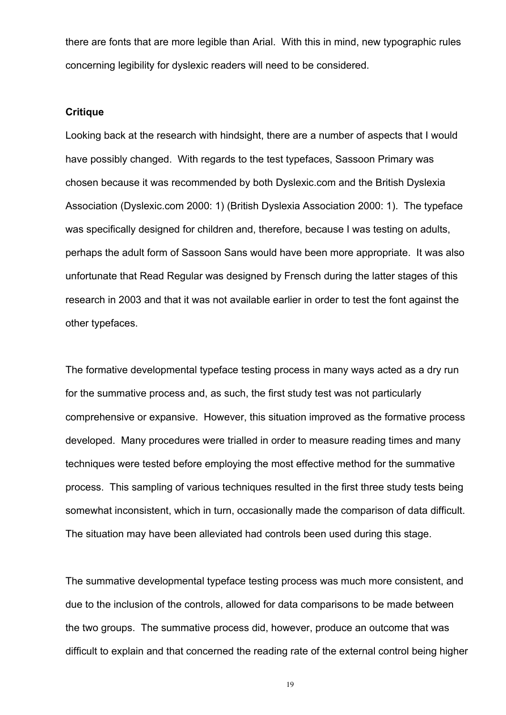there are fonts that are more legible than Arial. With this in mind, new typographic rules concerning legibility for dyslexic readers will need to be considered.

#### **Critique**

Looking back at the research with hindsight, there are a number of aspects that I would have possibly changed. With regards to the test typefaces, Sassoon Primary was chosen because it was recommended by both Dyslexic.com and the British Dyslexia Association (Dyslexic.com 2000: 1) (British Dyslexia Association 2000: 1). The typeface was specifically designed for children and, therefore, because I was testing on adults, perhaps the adult form of Sassoon Sans would have been more appropriate. It was also unfortunate that Read Regular was designed by Frensch during the latter stages of this research in 2003 and that it was not available earlier in order to test the font against the other typefaces.

The formative developmental typeface testing process in many ways acted as a dry run for the summative process and, as such, the first study test was not particularly comprehensive or expansive. However, this situation improved as the formative process developed. Many procedures were trialled in order to measure reading times and many techniques were tested before employing the most effective method for the summative process. This sampling of various techniques resulted in the first three study tests being somewhat inconsistent, which in turn, occasionally made the comparison of data difficult. The situation may have been alleviated had controls been used during this stage.

The summative developmental typeface testing process was much more consistent, and due to the inclusion of the controls, allowed for data comparisons to be made between the two groups. The summative process did, however, produce an outcome that was difficult to explain and that concerned the reading rate of the external control being higher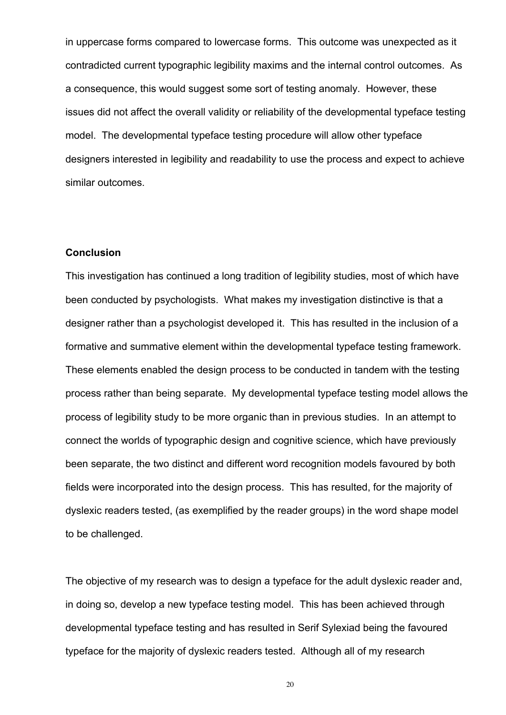in uppercase forms compared to lowercase forms. This outcome was unexpected as it contradicted current typographic legibility maxims and the internal control outcomes. As a consequence, this would suggest some sort of testing anomaly. However, these issues did not affect the overall validity or reliability of the developmental typeface testing model. The developmental typeface testing procedure will allow other typeface designers interested in legibility and readability to use the process and expect to achieve similar outcomes.

#### **Conclusion**

This investigation has continued a long tradition of legibility studies, most of which have been conducted by psychologists. What makes my investigation distinctive is that a designer rather than a psychologist developed it. This has resulted in the inclusion of a formative and summative element within the developmental typeface testing framework. These elements enabled the design process to be conducted in tandem with the testing process rather than being separate. My developmental typeface testing model allows the process of legibility study to be more organic than in previous studies. In an attempt to connect the worlds of typographic design and cognitive science, which have previously been separate, the two distinct and different word recognition models favoured by both fields were incorporated into the design process. This has resulted, for the majority of dyslexic readers tested, (as exemplified by the reader groups) in the word shape model to be challenged.

The objective of my research was to design a typeface for the adult dyslexic reader and, in doing so, develop a new typeface testing model. This has been achieved through developmental typeface testing and has resulted in Serif Sylexiad being the favoured typeface for the majority of dyslexic readers tested. Although all of my research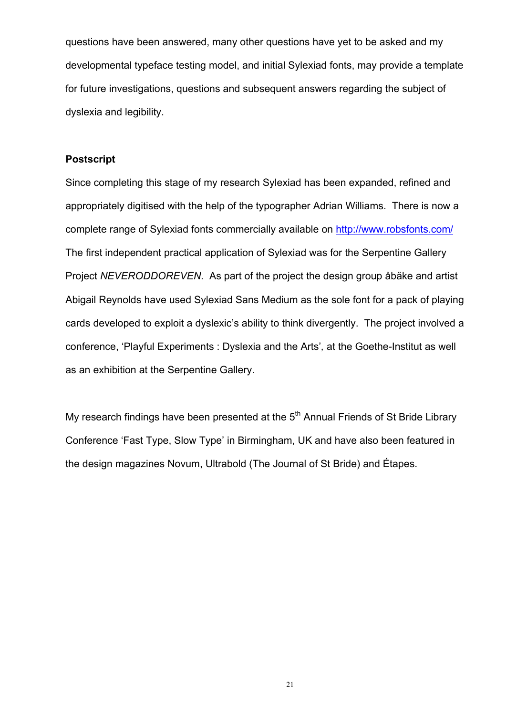questions have been answered, many other questions have yet to be asked and my developmental typeface testing model, and initial Sylexiad fonts, may provide a template for future investigations, questions and subsequent answers regarding the subject of dyslexia and legibility.

### **Postscript**

Since completing this stage of my research Sylexiad has been expanded, refined and appropriately digitised with the help of the typographer Adrian Williams. There is now a complete range of Sylexiad fonts commercially available on http://www.robsfonts.com/ The first independent practical application of Sylexiad was for the Serpentine Gallery Project *NEVERODDOREVEN*. As part of the project the design group åbäke and artist Abigail Reynolds have used Sylexiad Sans Medium as the sole font for a pack of playing cards developed to exploit a dyslexic's ability to think divergently. The project involved a conference, 'Playful Experiments : Dyslexia and the Arts'*,* at the Goethe-Institut as well as an exhibition at the Serpentine Gallery.

My research findings have been presented at the  $5<sup>th</sup>$  Annual Friends of St Bride Library Conference 'Fast Type, Slow Type' in Birmingham, UK and have also been featured in the design magazines Novum, Ultrabold (The Journal of St Bride) and Étapes.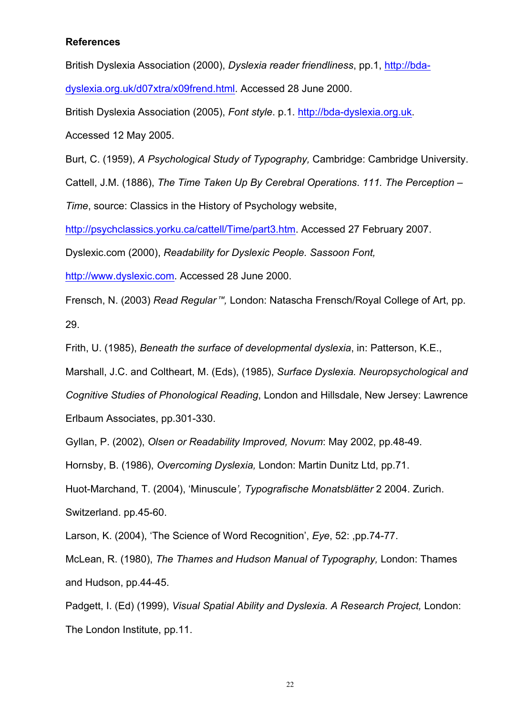#### **References**

British Dyslexia Association (2000), *Dyslexia reader friendliness*, pp.1, http://bdadyslexia.org.uk/d07xtra/x09frend.html. Accessed 28 June 2000.

British Dyslexia Association (2005), *Font style*. p.1. http://bda-dyslexia.org.uk.

Accessed 12 May 2005.

Burt, C. (1959), *A Psychological Study of Typography,* Cambridge: Cambridge University.

Cattell, J.M. (1886), *The Time Taken Up By Cerebral Operations*. *111. The Perception –*

*Time*, source: Classics in the History of Psychology website,

http://psychclassics.yorku.ca/cattell/Time/part3.htm. Accessed 27 February 2007.

Dyslexic.com (2000), *Readability for Dyslexic People. Sassoon Font,* 

http://www.dyslexic.com. Accessed 28 June 2000.

Frensch, N. (2003) *Read Regular*™*,* London: Natascha Frensch/Royal College of Art, pp. 29.

Frith, U. (1985), *Beneath the surface of developmental dyslexia*, in: Patterson, K.E.,

Marshall, J.C. and Coltheart, M. (Eds), (1985), *Surface Dyslexia. Neuropsychological and Cognitive Studies of Phonological Reading*, London and Hillsdale, New Jersey: Lawrence Erlbaum Associates, pp.301-330.

Gyllan, P. (2002), *Olsen or Readability Improved, Novum*: May 2002, pp.48-49.

Hornsby, B. (1986), *Overcoming Dyslexia,* London: Martin Dunitz Ltd, pp.71.

Huot-Marchand, T. (2004), 'Minuscule*', Typografische Monatsblätter* 2 2004. Zurich. Switzerland. pp.45-60.

Larson, K. (2004), 'The Science of Word Recognition', *Eye*, 52: ,pp.74-77.

McLean, R. (1980), *The Thames and Hudson Manual of Typography,* London: Thames and Hudson, pp.44-45.

Padgett, I. (Ed) (1999), *Visual Spatial Ability and Dyslexia. A Research Project,* London: The London Institute, pp.11.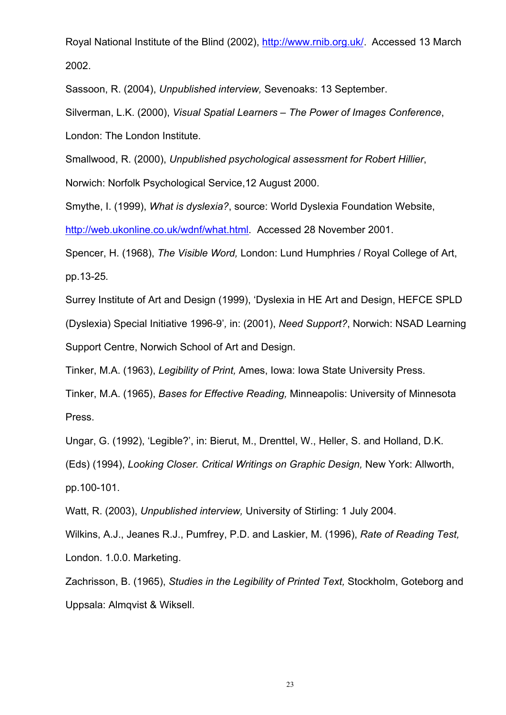Royal National Institute of the Blind (2002), http://www.rnib.org.uk/. Accessed 13 March 2002.

Sassoon, R. (2004), *Unpublished interview,* Sevenoaks: 13 September.

Silverman, L.K. (2000), *Visual Spatial Learners – The Power of Images Conference*,

London: The London Institute.

Smallwood, R. (2000), *Unpublished psychological assessment for Robert Hillier*, Norwich: Norfolk Psychological Service,12 August 2000.

Smythe, I. (1999), *What is dyslexia?*, source: World Dyslexia Foundation Website,

http://web.ukonline.co.uk/wdnf/what.html. Accessed 28 November 2001.

Spencer, H. (1968), *The Visible Word,* London: Lund Humphries / Royal College of Art, pp.13-25*.*

Surrey Institute of Art and Design (1999), 'Dyslexia in HE Art and Design, HEFCE SPLD

(Dyslexia) Special Initiative 1996-9'*,* in: (2001), *Need Support?*, Norwich: NSAD Learning Support Centre, Norwich School of Art and Design.

Tinker, M.A. (1963), *Legibility of Print,* Ames, Iowa: Iowa State University Press.

Tinker, M.A. (1965), *Bases for Effective Reading,* Minneapolis: University of Minnesota Press.

Ungar, G. (1992), 'Legible?', in: Bierut, M., Drenttel, W., Heller, S. and Holland, D.K.

(Eds) (1994), *Looking Closer. Critical Writings on Graphic Design,* New York: Allworth, pp.100-101.

Watt, R. (2003), *Unpublished interview,* University of Stirling: 1 July 2004.

Wilkins, A.J., Jeanes R.J., Pumfrey, P.D. and Laskier, M. (1996), *Rate of Reading Test,*  London. 1.0.0. Marketing.

Zachrisson, B. (1965), *Studies in the Legibility of Printed Text,* Stockholm, Goteborg and Uppsala: Almqvist & Wiksell.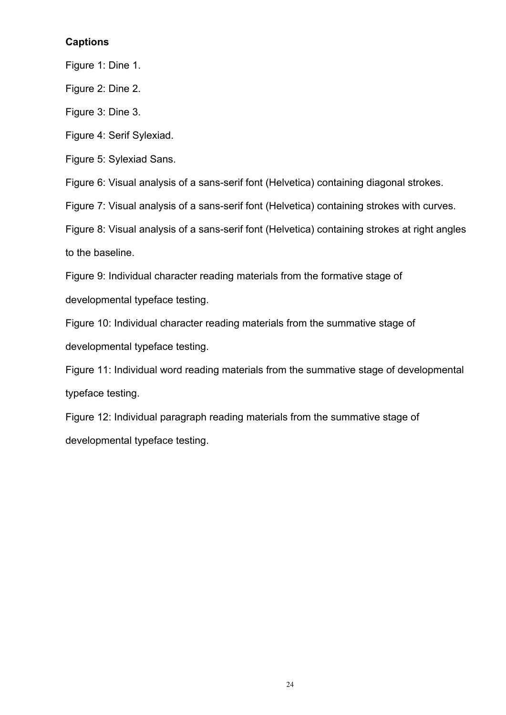## **Captions**

Figure 1: Dine 1.

Figure 2: Dine 2.

Figure 3: Dine 3.

Figure 4: Serif Sylexiad.

Figure 5: Sylexiad Sans.

Figure 6: Visual analysis of a sans-serif font (Helvetica) containing diagonal strokes.

Figure 7: Visual analysis of a sans-serif font (Helvetica) containing strokes with curves.

Figure 8: Visual analysis of a sans-serif font (Helvetica) containing strokes at right angles to the baseline.

Figure 9: Individual character reading materials from the formative stage of

developmental typeface testing.

Figure 10: Individual character reading materials from the summative stage of

developmental typeface testing.

Figure 11: Individual word reading materials from the summative stage of developmental typeface testing.

Figure 12: Individual paragraph reading materials from the summative stage of developmental typeface testing.